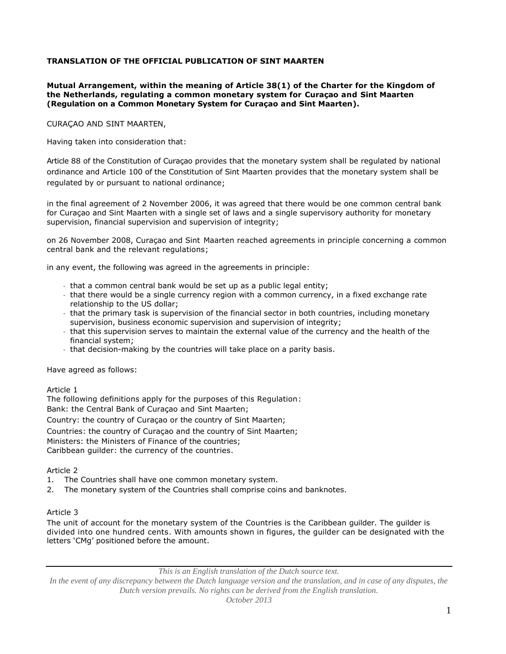### **TRANSLATION OF THE OFFICIAL PUBLICATION OF SINT MAARTEN**

#### **Mutual Arrangement, within the meaning of Article 38(1) of the Charter for the Kingdom of the Netherlands, regulating a common monetary system for Curaçao and Sint Maarten (Regulation on a Common Monetary System for Curaçao and Sint Maarten).**

CURAÇAO AND SINT MAARTEN,

Having taken into consideration that:

Article 88 of the Constitution of Curaçao provides that the monetary system shall be regulated by national ordinance and Article 100 of the Constitution of Sint Maarten provides that the monetary system shall be regulated by or pursuant to national ordinance;

in the final agreement of 2 November 2006, it was agreed that there would be one common central bank for Curaçao and Sint Maarten with a single set of laws and a single supervisory authority for monetary supervision, financial supervision and supervision of integrity;

on 26 November 2008, Curaçao and Sint Maarten reached agreements in principle concerning a common central bank and the relevant regulations;

in any event, the following was agreed in the agreements in principle:

- that a common central bank would be set up as a public legal entity;
- that there would be a single currency region with a common currency, in a fixed exchange rate relationship to the US dollar;
- that the primary task is supervision of the financial sector in both countries, including monetary supervision, business economic supervision and supervision of integrity;
- that this supervision serves to maintain the external value of the currency and the health of the financial system;
- that decision-making by the countries will take place on a parity basis.

Have agreed as follows:

Article 1

The following definitions apply for the purposes of this Regulation:

Bank: the Central Bank of Curaçao and Sint Maarten;

Country: the country of Curaçao or the country of Sint Maarten;

Countries: the country of Curaçao and the country of Sint Maarten;

Ministers: the Ministers of Finance of the countries;

Caribbean guilder: the currency of the countries.

#### Article 2

- 1. The Countries shall have one common monetary system.
- 2. The monetary system of the Countries shall comprise coins and banknotes.

### Article 3

The unit of account for the monetary system of the Countries is the Caribbean guilder. The guilder is divided into one hundred cents. With amounts shown in figures, the guilder can be designated with the letters 'CMg' positioned before the amount.

*This is an English translation of the Dutch source text.*

*In the event of any discrepancy between the Dutch language version and the translation, and in case of any disputes, the Dutch version prevails. No rights can be derived from the English translation.*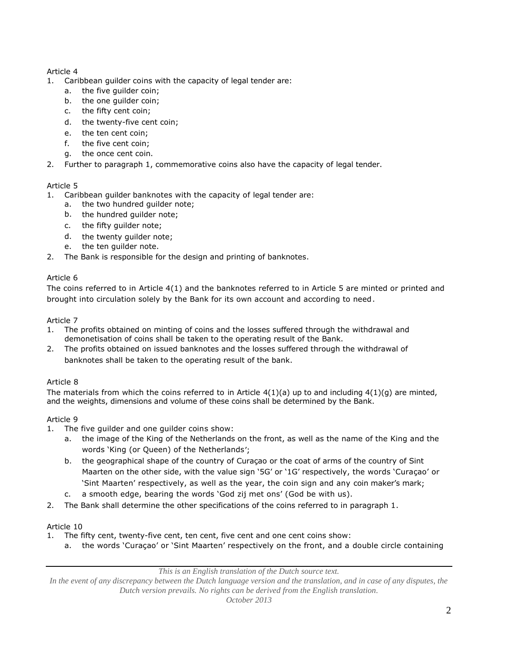## Article 4

- 1. Caribbean guilder coins with the capacity of legal tender are:
	- a. the five guilder coin;
	- b. the one guilder coin;
	- c. the fifty cent coin;
	- d. the twenty-five cent coin;
	- e. the ten cent coin;
	- f. the five cent coin;
	- g. the once cent coin.
- 2. Further to paragraph 1, commemorative coins also have the capacity of legal tender.

# Article 5

- 1. Caribbean guilder banknotes with the capacity of legal tender are:
	- a. the two hundred guilder note;
	- b. the hundred guilder note;
	- c. the fifty guilder note;
	- d. the twenty guilder note;
	- e. the ten guilder note.
- 2. The Bank is responsible for the design and printing of banknotes.

# Article 6

The coins referred to in Article 4(1) and the banknotes referred to in Article 5 are minted or printed and brought into circulation solely by the Bank for its own account and according to need.

# Article 7

- 1. The profits obtained on minting of coins and the losses suffered through the withdrawal and demonetisation of coins shall be taken to the operating result of the Bank.
- 2. The profits obtained on issued banknotes and the losses suffered through the withdrawal of banknotes shall be taken to the operating result of the bank.

# Article 8

The materials from which the coins referred to in Article  $4(1)(a)$  up to and including  $4(1)(a)$  are minted, and the weights, dimensions and volume of these coins shall be determined by the Bank.

# Article 9

- 1. The five guilder and one guilder coins show:
	- a. the image of the King of the Netherlands on the front, as well as the name of the King and the words 'King (or Queen) of the Netherlands';
	- b. the geographical shape of the country of Curaçao or the coat of arms of the country of Sint Maarten on the other side, with the value sign '5G' or '1G' respectively, the words 'Curaçao' or 'Sint Maarten' respectively, as well as the year, the coin sign and any coin maker's mark;
	- c. a smooth edge, bearing the words 'God zij met ons' (God be with us).
- 2. The Bank shall determine the other specifications of the coins referred to in paragraph 1.

# Article 10

- 1. The fifty cent, twenty-five cent, ten cent, five cent and one cent coins show:
	- a. the words 'Curaçao' or 'Sint Maarten' respectively on the front, and a double circle containing

*This is an English translation of the Dutch source text.*

*In the event of any discrepancy between the Dutch language version and the translation, and in case of any disputes, the Dutch version prevails. No rights can be derived from the English translation.*

*October 2013*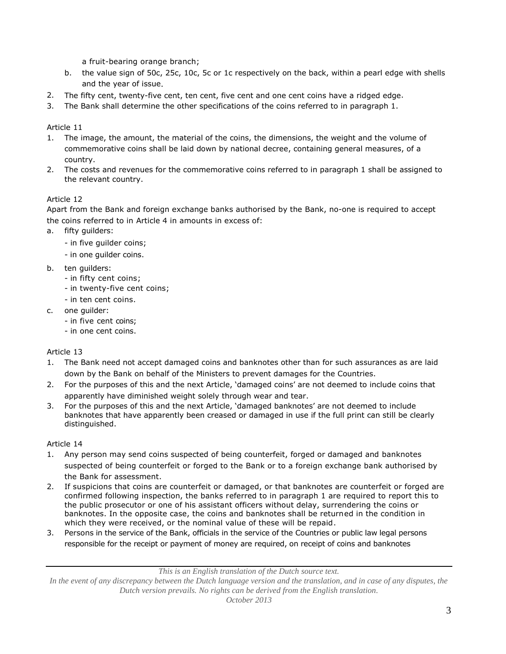a fruit-bearing orange branch;

- b. the value sign of 50c, 25c, 10c, 5c or 1c respectively on the back, within a pearl edge with shells and the year of issue.
- 2. The fifty cent, twenty-five cent, ten cent, five cent and one cent coins have a ridged edge.
- 3. The Bank shall determine the other specifications of the coins referred to in paragraph 1.

Article 11

- 1. The image, the amount, the material of the coins, the dimensions, the weight and the volume of commemorative coins shall be laid down by national decree, containing general measures, of a country.
- 2. The costs and revenues for the commemorative coins referred to in paragraph 1 shall be assigned to the relevant country.

## Article 12

Apart from the Bank and foreign exchange banks authorised by the Bank, no-one is required to accept the coins referred to in Article 4 in amounts in excess of:

- a. fifty guilders:
	- in five guilder coins;
	- in one guilder coins.
- b. ten guilders:
	- in fifty cent coins;
	- in twenty-five cent coins;
	- in ten cent coins.
- c. one guilder:
	- in five cent coins;
	- in one cent coins.

Article 13

- 1. The Bank need not accept damaged coins and banknotes other than for such assurances as are laid down by the Bank on behalf of the Ministers to prevent damages for the Countries.
- 2. For the purposes of this and the next Article, 'damaged coins' are not deemed to include coins that apparently have diminished weight solely through wear and tear.
- 3. For the purposes of this and the next Article, 'damaged banknotes' are not deemed to include banknotes that have apparently been creased or damaged in use if the full print can still be clearly distinguished.

### Article 14

- 1. Any person may send coins suspected of being counterfeit, forged or damaged and banknotes suspected of being counterfeit or forged to the Bank or to a foreign exchange bank authorised by the Bank for assessment.
- 2. If suspicions that coins are counterfeit or damaged, or that banknotes are counterfeit or forged are confirmed following inspection, the banks referred to in paragraph 1 are required to report this to the public prosecutor or one of his assistant officers without delay, surrendering the coins or banknotes. In the opposite case, the coins and banknotes shall be returned in the condition in which they were received, or the nominal value of these will be repaid.
- 3. Persons in the service of the Bank, officials in the service of the Countries or public law legal persons responsible for the receipt or payment of money are required, on receipt of coins and banknotes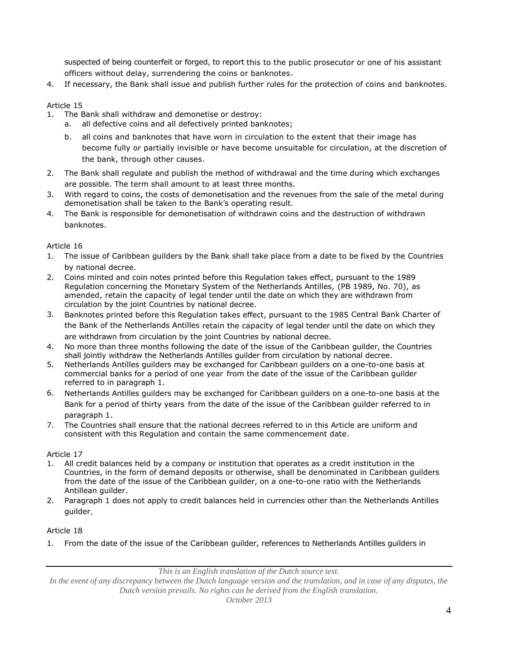suspected of being counterfeit or forged, to report this to the public prosecutor or one of his assistant officers without delay, surrendering the coins or banknotes.

4. If necessary, the Bank shall issue and publish further rules for the protection of coins and banknotes.

### Article 15

- 1. The Bank shall withdraw and demonetise or destroy:
	- a. all defective coins and all defectively printed banknotes;
	- b. all coins and banknotes that have worn in circulation to the extent that their image has become fully or partially invisible or have become unsuitable for circulation, at the discretion of the bank, through other causes.
- 2. The Bank shall regulate and publish the method of withdrawal and the time during which exchanges are possible. The term shall amount to at least three months.
- 3. With regard to coins, the costs of demonetisation and the revenues from the sale of the metal during demonetisation shall be taken to the Bank's operating result.
- 4. The Bank is responsible for demonetisation of withdrawn coins and the destruction of withdrawn banknotes.

### Article 16

- 1. The issue of Caribbean guilders by the Bank shall take place from a date to be fixed by the Countries by national decree.
- 2. Coins minted and coin notes printed before this Regulation takes effect, pursuant to the 1989 Regulation concerning the Monetary System of the Netherlands Antilles, (PB 1989, No. 70), as amended, retain the capacity of legal tender until the date on which they are withdrawn from circulation by the joint Countries by national decree.
- 3. Banknotes printed before this Regulation takes effect, pursuant to the 1985 Central Bank Charter of the Bank of the Netherlands Antilles retain the capacity of legal tender until the date on which they are withdrawn from circulation by the joint Countries by national decree.
- 4. No more than three months following the date of the issue of the Caribbean guilder, the Countries shall jointly withdraw the Netherlands Antilles guilder from circulation by national decree.
- 5. Netherlands Antilles guilders may be exchanged for Caribbean guilders on a one-to-one basis at commercial banks for a period of one year from the date of the issue of the Caribbean guilder referred to in paragraph 1.
- 6. Netherlands Antilles guilders may be exchanged for Caribbean guilders on a one-to-one basis at the Bank for a period of thirty years from the date of the issue of the Caribbean guilder referred to in paragraph 1.
- 7. The Countries shall ensure that the national decrees referred to in this Article are uniform and consistent with this Regulation and contain the same commencement date.

#### Article 17

- 1. All credit balances held by a company or institution that operates as a credit institution in the Countries, in the form of demand deposits or otherwise, shall be denominated in Caribbean guilders from the date of the issue of the Caribbean guilder, on a one-to-one ratio with the Netherlands Antillean guilder.
- 2. Paragraph 1 does not apply to credit balances held in currencies other than the Netherlands Antilles guilder.

#### Article 18

1. From the date of the issue of the Caribbean guilder, references to Netherlands Antilles guilders in

*This is an English translation of the Dutch source text.*

*In the event of any discrepancy between the Dutch language version and the translation, and in case of any disputes, the Dutch version prevails. No rights can be derived from the English translation.*

*October 2013*